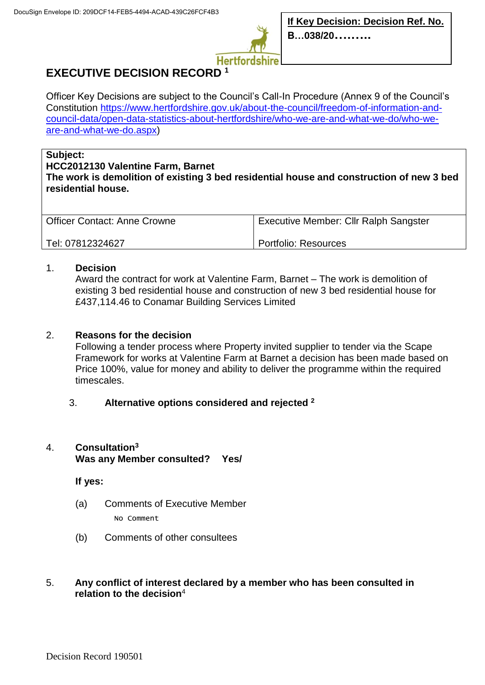

# **EXECUTIVE DECISION RECORD <sup>1</sup>**

Officer Key Decisions are subject to the Council's Call-In Procedure (Annex 9 of the Council's Constitution [https://www.hertfordshire.gov.uk/about-the-council/freedom-of-information-and](https://www.hertfordshire.gov.uk/about-the-council/freedom-of-information-and-council-data/open-data-statistics-about-hertfordshire/who-we-are-and-what-we-do/who-we-are-and-what-we-do.aspx)[council-data/open-data-statistics-about-hertfordshire/who-we-are-and-what-we-do/who-we](https://www.hertfordshire.gov.uk/about-the-council/freedom-of-information-and-council-data/open-data-statistics-about-hertfordshire/who-we-are-and-what-we-do/who-we-are-and-what-we-do.aspx)[are-and-what-we-do.aspx\)](https://www.hertfordshire.gov.uk/about-the-council/freedom-of-information-and-council-data/open-data-statistics-about-hertfordshire/who-we-are-and-what-we-do/who-we-are-and-what-we-do.aspx)

#### **Subject:**

**HCC2012130 Valentine Farm, Barnet The work is demolition of existing 3 bed residential house and construction of new 3 bed residential house.**

| <b>Officer Contact: Anne Crowne</b> | Executive Member: Cllr Ralph Sangster |
|-------------------------------------|---------------------------------------|
| Tel: 07812324627                    | Portfolio: Resources                  |

### 1. **Decision**

Award the contract for work at Valentine Farm, Barnet – The work is demolition of existing 3 bed residential house and construction of new 3 bed residential house for £437,114.46 to Conamar Building Services Limited

## 2. **Reasons for the decision**

Following a tender process where Property invited supplier to tender via the Scape Framework for works at Valentine Farm at Barnet a decision has been made based on Price 100%, value for money and ability to deliver the programme within the required timescales.

### 3. **Alternative options considered and rejected <sup>2</sup>**

# 4. **Consultation<sup>3</sup> Was any Member consulted? Yes/**

**If yes:**

- (a) Comments of Executive Member No Comment
- (b) Comments of other consultees
- 5. **Any conflict of interest declared by a member who has been consulted in relation to the decision**<sup>4</sup>